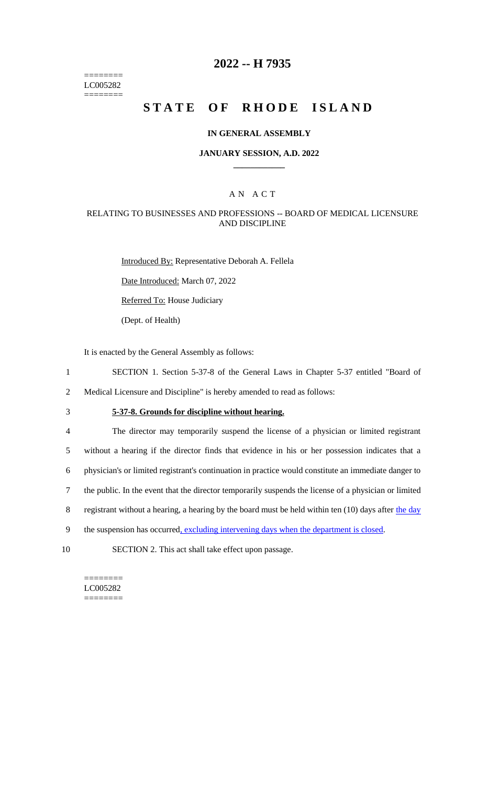======== LC005282 ========

# **2022 -- H 7935**

# **STATE OF RHODE ISLAND**

### **IN GENERAL ASSEMBLY**

### **JANUARY SESSION, A.D. 2022 \_\_\_\_\_\_\_\_\_\_\_\_**

### A N A C T

### RELATING TO BUSINESSES AND PROFESSIONS -- BOARD OF MEDICAL LICENSURE AND DISCIPLINE

Introduced By: Representative Deborah A. Fellela Date Introduced: March 07, 2022 Referred To: House Judiciary

(Dept. of Health)

It is enacted by the General Assembly as follows:

- 1 SECTION 1. Section 5-37-8 of the General Laws in Chapter 5-37 entitled "Board of
- 2 Medical Licensure and Discipline" is hereby amended to read as follows:
- 

# 3 **5-37-8. Grounds for discipline without hearing.**

 The director may temporarily suspend the license of a physician or limited registrant without a hearing if the director finds that evidence in his or her possession indicates that a physician's or limited registrant's continuation in practice would constitute an immediate danger to the public. In the event that the director temporarily suspends the license of a physician or limited 8 registrant without a hearing, a hearing by the board must be held within ten (10) days after the day 9 the suspension has occurred<u>, excluding intervening days when the department is closed</u>.

10 SECTION 2. This act shall take effect upon passage.

======== LC005282 ========